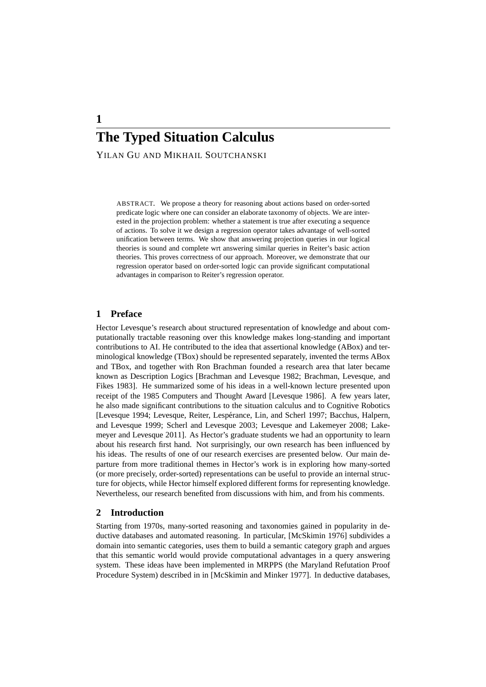YILAN GU AND MIKHAIL SOUTCHANSKI

ABSTRACT. We propose a theory for reasoning about actions based on order-sorted predicate logic where one can consider an elaborate taxonomy of objects. We are interested in the projection problem: whether a statement is true after executing a sequence of actions. To solve it we design a regression operator takes advantage of well-sorted unification between terms. We show that answering projection queries in our logical theories is sound and complete wrt answering similar queries in Reiter's basic action theories. This proves correctness of our approach. Moreover, we demonstrate that our regression operator based on order-sorted logic can provide significant computational advantages in comparison to Reiter's regression operator.

# **1 Preface**

Hector Levesque's research about structured representation of knowledge and about computationally tractable reasoning over this knowledge makes long-standing and important contributions to AI. He contributed to the idea that assertional knowledge (ABox) and terminological knowledge (TBox) should be represented separately, invented the terms ABox and TBox, and together with Ron Brachman founded a research area that later became known as Description Logics [Brachman and Levesque 1982; Brachman, Levesque, and Fikes 1983]. He summarized some of his ideas in a well-known lecture presented upon receipt of the 1985 Computers and Thought Award [Levesque 1986]. A few years later, he also made significant contributions to the situation calculus and to Cognitive Robotics [Levesque 1994; Levesque, Reiter, Lesperance, Lin, and Scherl 1997; Bacchus, Halpern, ´ and Levesque 1999; Scherl and Levesque 2003; Levesque and Lakemeyer 2008; Lakemeyer and Levesque 2011]. As Hector's graduate students we had an opportunity to learn about his research first hand. Not surprisingly, our own research has been influenced by his ideas. The results of one of our research exercises are presented below. Our main departure from more traditional themes in Hector's work is in exploring how many-sorted (or more precisely, order-sorted) representations can be useful to provide an internal structure for objects, while Hector himself explored different forms for representing knowledge. Nevertheless, our research benefited from discussions with him, and from his comments.

# **2 Introduction**

Starting from 1970s, many-sorted reasoning and taxonomies gained in popularity in deductive databases and automated reasoning. In particular, [McSkimin 1976] subdivides a domain into semantic categories, uses them to build a semantic category graph and argues that this semantic world would provide computational advantages in a query answering system. These ideas have been implemented in MRPPS (the Maryland Refutation Proof Procedure System) described in in [McSkimin and Minker 1977]. In deductive databases,

**1**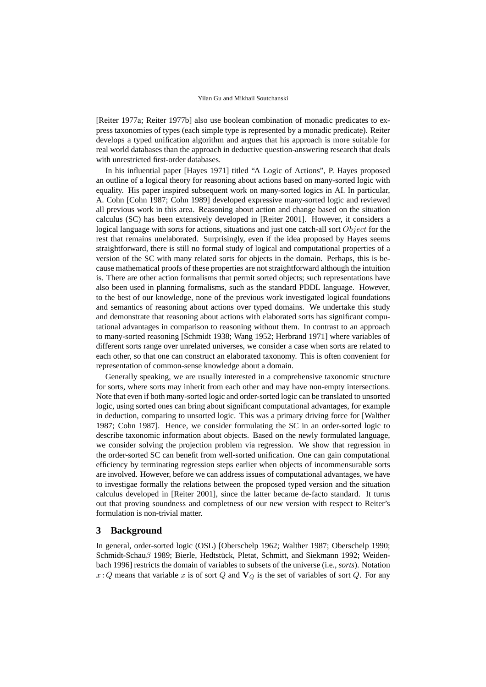[Reiter 1977a; Reiter 1977b] also use boolean combination of monadic predicates to express taxonomies of types (each simple type is represented by a monadic predicate). Reiter develops a typed unification algorithm and argues that his approach is more suitable for real world databases than the approach in deductive question-answering research that deals with unrestricted first-order databases.

In his influential paper [Hayes 1971] titled "A Logic of Actions", P. Hayes proposed an outline of a logical theory for reasoning about actions based on many-sorted logic with equality. His paper inspired subsequent work on many-sorted logics in AI. In particular, A. Cohn [Cohn 1987; Cohn 1989] developed expressive many-sorted logic and reviewed all previous work in this area. Reasoning about action and change based on the situation calculus (SC) has been extensively developed in [Reiter 2001]. However, it considers a logical language with sorts for actions, situations and just one catch-all sort  $Object$  for the rest that remains unelaborated. Surprisingly, even if the idea proposed by Hayes seems straightforward, there is still no formal study of logical and computational properties of a version of the SC with many related sorts for objects in the domain. Perhaps, this is because mathematical proofs of these properties are not straightforward although the intuition is. There are other action formalisms that permit sorted objects; such representations have also been used in planning formalisms, such as the standard PDDL language. However, to the best of our knowledge, none of the previous work investigated logical foundations and semantics of reasoning about actions over typed domains. We undertake this study and demonstrate that reasoning about actions with elaborated sorts has significant computational advantages in comparison to reasoning without them. In contrast to an approach to many-sorted reasoning [Schmidt 1938; Wang 1952; Herbrand 1971] where variables of different sorts range over unrelated universes, we consider a case when sorts are related to each other, so that one can construct an elaborated taxonomy. This is often convenient for representation of common-sense knowledge about a domain.

Generally speaking, we are usually interested in a comprehensive taxonomic structure for sorts, where sorts may inherit from each other and may have non-empty intersections. Note that even if both many-sorted logic and order-sorted logic can be translated to unsorted logic, using sorted ones can bring about significant computational advantages, for example in deduction, comparing to unsorted logic. This was a primary driving force for [Walther 1987; Cohn 1987]. Hence, we consider formulating the SC in an order-sorted logic to describe taxonomic information about objects. Based on the newly formulated language, we consider solving the projection problem via regression. We show that regression in the order-sorted SC can benefit from well-sorted unification. One can gain computational efficiency by terminating regression steps earlier when objects of incommensurable sorts are involved. However, before we can address issues of computational advantages, we have to investigae formally the relations between the proposed typed version and the situation calculus developed in [Reiter 2001], since the latter became de-facto standard. It turns out that proving soundness and completness of our new version with respect to Reiter's formulation is non-trivial matter.

## **3 Background**

In general, order-sorted logic (OSL) [Oberschelp 1962; Walther 1987; Oberschelp 1990; Schmidt-Schauβ 1989; Bierle, Hedtstück, Pletat, Schmitt, and Siekmann 1992; Weidenbach 1996] restricts the domain of variables to subsets of the universe (i.e., *sorts*). Notation  $x:Q$  means that variable x is of sort Q and  $V_Q$  is the set of variables of sort Q. For any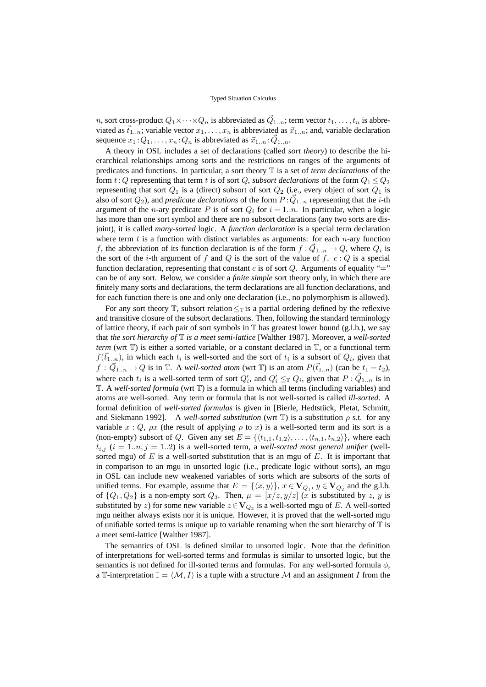n, sort cross-product  $Q_1 \times \cdots \times Q_n$  is abbreviated as  $\vec{Q}_{1..n}$ ; term vector  $t_1,\ldots,t_n$  is abbreviated as  $\vec{t}_{1..n}$ ; variable vector  $x_1, \ldots, x_n$  is abbreviated as  $\vec{x}_{1..n}$ ; and, variable declaration sequence  $x_1:Q_1,\ldots,x_n:Q_n$  is abbreviated as  $\vec{x}_{1..n}:\vec{Q}_{1..n}$ .

A theory in OSL includes a set of declarations (called *sort theory*) to describe the hierarchical relationships among sorts and the restrictions on ranges of the arguments of predicates and functions. In particular, a sort theory T is a set of *term declarations* of the form  $t: Q$  representing that term t is of sort Q, *subsort declarations* of the form  $Q_1 \leq Q_2$ representing that sort  $Q_1$  is a (direct) subsort of sort  $Q_2$  (i.e., every object of sort  $Q_1$  is also of sort  $Q_2$ ), and *predicate declarations* of the form  $P: \vec{Q}_{1..n}$  representing that the *i*-th argument of the *n*-ary predicate P is of sort  $Q_i$  for  $i = 1..n$ . In particular, when a logic has more than one sort symbol and there are no subsort declarations (any two sorts are disjoint), it is called *many-sorted* logic. A *function declaration* is a special term declaration where term  $t$  is a function with distinct variables as arguments: for each  $n$ -ary function f, the abbreviation of its function declaration is of the form  $f : \vec{Q}_{1..n} \to Q$ , where  $Q_i$  is the sort of the *i*-th argument of f and Q is the sort of the value of f.  $c: Q$  is a special function declaration, representing that constant c is of sort  $Q$ . Arguments of equality "=" can be of any sort. Below, we consider a *finite simple* sort theory only, in which there are finitely many sorts and declarations, the term declarations are all function declarations, and for each function there is one and only one declaration (i.e., no polymorphism is allowed).

For any sort theory  $\mathbb{T}$ , subsort relation  $\leq_{\mathbb{T}}$  is a partial ordering defined by the reflexive and transitive closure of the subsort declarations. Then, following the standard terminology of lattice theory, if each pair of sort symbols in  $\mathbb T$  has greatest lower bound (g.l.b.), we say that *the sort hierarchy of* T *is a meet semi-lattice* [Walther 1987]. Moreover, a *well-sorted term* (wrt  $\mathbb{T}$ ) is either a sorted variable, or a constant declared in  $\mathbb{T}$ , or a functional term  $f(\vec{t}_{1..n})$ , in which each  $t_i$  is well-sorted and the sort of  $t_i$  is a subsort of  $Q_i$ , given that  $f: \vec{Q}_{1..n} \to Q$  is in  $\mathbb{T}$ . A *well-sorted atom* (wrt  $\mathbb{T}$ ) is an atom  $P(\vec{t}_{1..n})$  (can be  $t_1 = t_2$ ), where each  $t_i$  is a well-sorted term of sort  $Q'_i$ , and  $Q'_i \leq_{\mathbb{T}} Q_i$ , given that  $P: \vec{Q}_{1..n}$  is in T. A *well-sorted formula* (wrt T) is a formula in which all terms (including variables) and atoms are well-sorted. Any term or formula that is not well-sorted is called *ill-sorted*. A formal definition of *well-sorted formulas* is given in [Bierle, Hedtstück, Pletat, Schmitt, and Siekmann 1992]. A *well-sorted substitution* (wrt  $\mathbb T$ ) is a substitution  $\rho$  s.t. for any variable x : Q,  $\rho x$  (the result of applying  $\rho$  to x) is a well-sorted term and its sort is a (non-empty) subsort of Q. Given any set  $E = \{ \langle t_{1,1}, t_{1,2} \rangle, \ldots, \langle t_{n,1}, t_{n,2} \rangle \}$ , where each  $t_{i,j}$  ( $i = 1..n, j = 1..2$ ) is a well-sorted term, a *well-sorted most general unifier* (wellsorted mgu) of  $E$  is a well-sorted substitution that is an mgu of  $E$ . It is important that in comparison to an mgu in unsorted logic (i.e., predicate logic without sorts), an mgu in OSL can include new weakened variables of sorts which are subsorts of the sorts of unified terms. For example, assume that  $E = \{ \langle x, y \rangle \}$ ,  $x \in V_{Q_1}, y \in V_{Q_2}$  and the g.l.b. of  $\{Q_1,Q_2\}$  is a non-empty sort  $Q_3$ . Then,  $\mu = \lfloor x/z, y/z \rfloor$  (x is substituted by z, y is substituted by z) for some new variable  $z \in V_{Q_3}$  is a well-sorted mgu of E. A well-sorted mgu neither always exists nor it is unique. However, it is proved that the well-sorted mgu of unifiable sorted terms is unique up to variable renaming when the sort hierarchy of  $\mathbb T$  is a meet semi-lattice [Walther 1987].

The semantics of OSL is defined similar to unsorted logic. Note that the definition of interpretations for well-sorted terms and formulas is similar to unsorted logic, but the semantics is not defined for ill-sorted terms and formulas. For any well-sorted formula  $\phi$ , a T-interpretation  $\mathbb{I} = \langle \mathcal{M}, I \rangle$  is a tuple with a structure M and an assignment I from the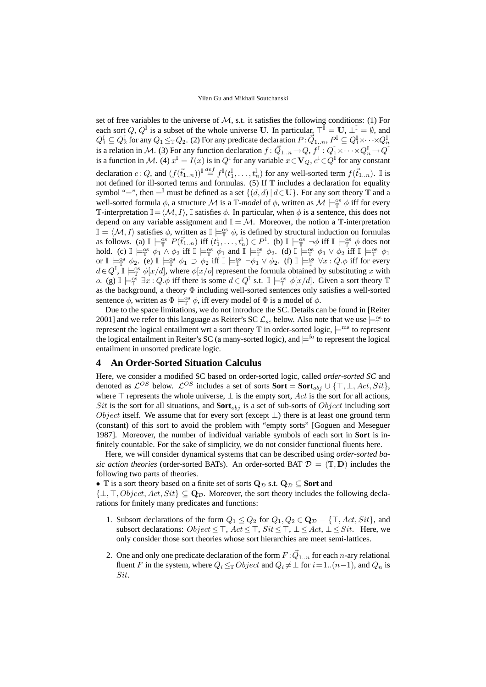set of free variables to the universe of  $M$ , s.t. it satisfies the following conditions: (1) For each sort Q,  $Q^{\mathbb{I}}$  is a subset of the whole universe U. In particular,  $\top^{\mathbb{I}} = U$ ,  $\bot^{\mathbb{I}} = \emptyset$ , and  $Q_1^{\mathbb{I}} \subseteq Q_2^{\mathbb{I}}$  for any  $Q_1 \leq_{\mathbb{T}} Q_2$ . (2) For any predicate declaration  $P: \vec{Q}_{1..n}, P^{\mathbb{I}} \subseteq Q_1^{\mathbb{I}} \times \cdots \times Q_n^{\mathbb{I}}$ is a relation in M. (3) For any function declaration  $f: \vec{Q}_{1..n} \to Q, f^{\mathbb{I}}: Q_1^{\mathbb{I}} \times \cdots \times Q_n^{\mathbb{I}} \to Q^{\mathbb{I}}$ is a function in M. (4)  $x^{\mathbb{I}} = I(x)$  is in  $Q^{\mathbb{I}}$  for any variable  $x \in \mathbf{V}_Q$ ,  $c^{\mathbb{I}} \in Q^{\mathbb{I}}$  for any constant declaration  $c:Q$ , and  $(f(\vec{t}_{1..n}))^{\mathbb{I}}\stackrel{def}{=} f^{\mathbb{I}}(t_1^{\mathbb{I}},\ldots,t_n^{\mathbb{I}})$  for any well-sorted term  $f(\vec{t}_{1..n})$ . I is not defined for ill-sorted terms and formulas. (5) If  $\mathbb T$  includes a declaration for equality symbol "=", then =<sup>I</sup> must be defined as a set  $\{(d, d) | d \in U\}$ . For any sort theory T and a well-sorted formula  $\phi$ , a structure M is a  $\mathbb{T}$ -model of  $\phi$ , written as  $\mathcal{M} \models^{\text{os}}_{\mathbb{T}} \phi$  iff for every T-interpretation  $\mathbb{I}=\langle \mathcal{M},I\rangle$ , I satisfies  $\phi$ . In particular, when  $\phi$  is a sentence, this does not depend on any variable assignment and  $\mathbb{I} = \mathcal{M}$ . Moreover, the notion a  $\mathbb{T}$ -interpretation  $\mathbb{I} = \langle \mathcal{M}, I \rangle$  satisfies  $\phi$ , written as  $\mathbb{I} \models_{\mathbb{T}}^{\infty} \phi$ , is defined by structural induction on formulas as follows. (a)  $\mathbb{I} \models_{\mathbb{T}}^{\infty} P(\vec{t}_{1..n})$  iff  $(t_1^{\mathbb{I}}, \dots, t_n^{\mathbb{I}}) \in P^{\mathbb{I}}$ . (b)  $\mathbb{I} \models_{\mathbb{T}}^{\infty} \neg \phi$  iff  $\mathbb{I} \models_{\mathbb{T}}^{\infty} \phi$  does not hold. (c)  $\mathbb{I} \models_{\mathbb{T}}^{\infty} \phi_1 \wedge \phi_2$  iff  $\mathbb{I} \models_{\mathbb{T}}^{\infty} \phi_1$  and  $\mathbb{I} \models_{\mathbb{T}}^{\infty} \phi_2$ . (d)  $\mathbb{I} \models_{\mathbb{T}}^{\infty} \phi_1 \vee \phi_2$  iff  $\mathbb{I} \models_{\mathbb{T}}^{\infty} \phi_1$ or  $\mathbb{I} \models_{\mathbb{T}}^{\infty} \phi_2$ . (e)  $\mathbb{I} \models_{\mathbb{T}}^{\infty} \phi_1 \supset \phi_2$  iff  $\mathbb{I} \models_{\mathbb{T}}^{\infty} \neg \phi_1 \vee \phi_2$ . (f)  $\mathbb{I} \models_{\mathbb{T}}^{\infty} \forall x : Q.\phi$  iff for every  $d \in Q^{\mathbb{I}}$ ,  $\mathbb{I} \models^{\infty}_{\mathbb{T}} \phi[x/d]$ , where  $\phi[x/\sigma]$  represent the formula obtained by substituting x with o. (g)  $\mathbb{I} \models_{\mathbb{T}}^{\circ} \exists x : Q \phi$  iff there is some  $d \in Q^{\mathbb{I}}$  s.t.  $\mathbb{I} \models_{\mathbb{T}}^{\circ} \phi[x/d]$ . Given a sort theory  $\mathbb{T}$ as the background, a theory  $\Phi$  including well-sorted sentences only satisfies a well-sorted sentence  $\phi$ , written as  $\Phi \models^{\text{os}}_{\mathbb{T}} \phi$ , iff every model of  $\Phi$  is a model of  $\phi$ .

Due to the space limitations, we do not introduce the SC. Details can be found in [Reiter 2001] and we refer to this language as Reiter's SC  $\mathcal{L}_{sc}$  below. Also note that we use  $\models^{\infty}_{\mathbb{T}}$  to represent the logical entailment wrt a sort theory  $\mathbb T$  in order-sorted logic,  $\models^{ms}$  to represent the logical entailment in Reiter's SC (a many-sorted logic), and  $\models^{f\circ}$  to represent the logical entailment in unsorted predicate logic.

# **4 An Order-Sorted Situation Calculus**

Here, we consider a modified SC based on order-sorted logic, called *order-sorted SC* and denoted as  $\mathcal{L}^{OS}$  below.  $\mathcal{L}^{OS}$  includes a set of sorts **Sort** = **Sort**<sub>obj</sub> ∪ { $\top$ ,  $\bot$ , Act, Sit}, where  $\top$  represents the whole universe,  $\bot$  is the empty sort, Act is the sort for all actions, Sit is the sort for all situations, and  $\text{Sort}_{obj}$  is a set of sub-sorts of  $Object$  including sort *Object* itself. We assume that for every sort (except  $\perp$ ) there is at least one ground term (constant) of this sort to avoid the problem with "empty sorts" [Goguen and Meseguer 1987]. Moreover, the number of individual variable symbols of each sort in **Sort** is infinitely countable. For the sake of simplicity, we do not consider functional fluents here.

Here, we will consider dynamical systems that can be described using *order-sorted basic action theories* (order-sorted BATs). An order-sorted BAT  $\mathcal{D} = (\mathbb{T}, D)$  includes the following two parts of theories.

• T is a sort theory based on a finite set of sorts  $Q_{\mathcal{D}}$  s.t.  $Q_{\mathcal{D}} \subseteq$  **Sort** and

 $\{\perp,\top, Object,Act,Sit\} \subseteq \mathbf{Q}_{\mathcal{D}}$ . Moreover, the sort theory includes the following declarations for finitely many predicates and functions:

- 1. Subsort declarations of the form  $Q_1 \leq Q_2$  for  $Q_1, Q_2 \in \mathbf{Q}_{\mathcal{D}} \{\top, Act, Sit\}$ , and subsort declarations:  $Object \leq \top$ ,  $Act \leq \top$ ,  $Sit \leq \top$ ,  $\bot \leq Act$ ,  $\bot \leq Sit$ . Here, we only consider those sort theories whose sort hierarchies are meet semi-lattices.
- 2. One and only one predicate declaration of the form  $F: \vec{Q}_{1..n}$  for each n-ary relational fluent F in the system, where  $Q_i \leq_{\mathbb{T}} Object$  and  $Q_i \neq \bot$  for  $i = 1..(n-1)$ , and  $Q_n$  is Sit.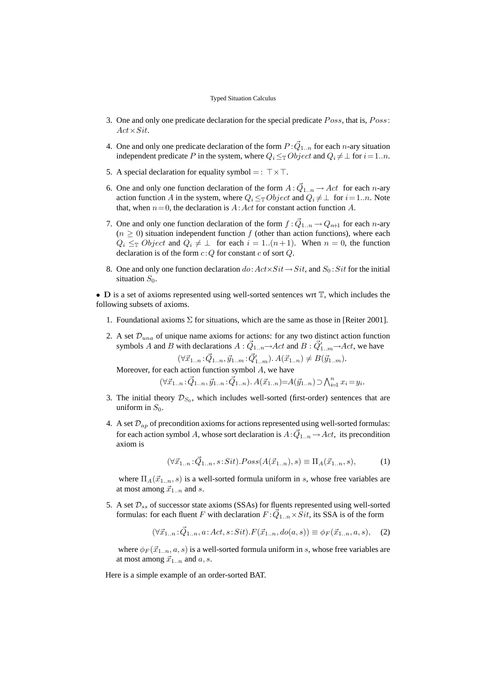- 3. One and only one predicate declaration for the special predicate Poss, that is, Poss:  $Act \times Sit.$
- 4. One and only one predicate declaration of the form  $P: \vec{Q}_{1..n}$  for each n-ary situation independent predicate P in the system, where  $Q_i \leq_\mathbb{T} Object$  and  $Q_i \neq \bot$  for  $i = 1..n$ .
- 5. A special declaration for equality symbol = :  $\top \times \top$ .
- 6. One and only one function declaration of the form  $A: \vec{Q}_{1..n} \to Act$  for each *n*-ary action function A in the system, where  $Q_i \leq_{\mathbb{T}} Object$  and  $Q_i \neq \bot$  for  $i = 1..n$ . Note that, when  $n = 0$ , the declaration is  $A: Act$  for constant action function A.
- 7. One and only one function declaration of the form  $f : \vec{Q}_{1..n} \to Q_{n+1}$  for each n-ary  $(n \geq 0)$  situation independent function f (other than action functions), where each  $Q_i \leq_{\mathbb{T}} Object$  and  $Q_i \neq \perp$  for each  $i = 1..(n+1)$ . When  $n = 0$ , the function declaration is of the form  $c:Q$  for constant c of sort  $Q$ .
- 8. One and only one function declaration  $do: Act \times Sit \rightarrow Sit$ , and  $S_0: Sit$  for the initial situation  $S_0$ .

• D is a set of axioms represented using well-sorted sentences wrt  $\mathbb T$ , which includes the following subsets of axioms.

- 1. Foundational axioms  $\Sigma$  for situations, which are the same as those in [Reiter 2001].
- 2. A set  $\mathcal{D}_{una}$  of unique name axioms for actions: for any two distinct action function symbols A and B with declarations  $A : \vec{Q}_{1..n} \to Act$  and  $B : \vec{Q}'_{1..m} \to Act$ , we have

 $(\forall \vec{x}_{1..n} : \vec{Q}_{1..n}, \vec{y}_{1..m} : \vec{Q}'_{1..m}) \ldotp A(\vec{x}_{1..n}) \neq B(\vec{y}_{1..m}).$ 

Moreover, for each action function symbol A, we have  $(\forall \vec{x}_{1..n} : \vec{Q}_{1..n}, \vec{y}_{1..n} : \vec{Q}_{1..n}) \cdot A(\vec{x}_{1..n}) = A(\vec{y}_{1..n}) \supset \bigwedge_{i=1}^{n} x_i = y_i.$ 

- 3. The initial theory  $\mathcal{D}_{S_0}$ , which includes well-sorted (first-order) sentences that are uniform in  $S_0$ .
- 4. A set  $\mathcal{D}_{ap}$  of precondition axioms for actions represented using well-sorted formulas: for each action symbol A, whose sort declaration is  $A: \vec{Q}_{1..n} \rightarrow Act$ , its precondition axiom is

$$
(\forall \vec{x}_{1..n} : \vec{Q}_{1..n}, s: Sit). Poss(A(\vec{x}_{1..n}), s) \equiv \Pi_A(\vec{x}_{1..n}, s),
$$
 (1)

where  $\Pi_A(\vec{x}_{1..n},s)$  is a well-sorted formula uniform in s, whose free variables are at most among  $\vec{x}_{1..n}$  and s.

5. A set  $\mathcal{D}_{ss}$  of successor state axioms (SSAs) for fluents represented using well-sorted formulas: for each fluent F with declaration  $F:\vec{Q}_{1..n}\times\overline{S}it$ , its SSA is of the form

$$
(\forall \vec{x}_{1..n} : \vec{Q}_{1..n}, a : Act, s : Sit). F(\vec{x}_{1..n}, do(a, s)) \equiv \phi_F(\vec{x}_{1..n}, a, s), \quad (2)
$$

where  $\phi_F(\vec{x}_1, n, a, s)$  is a well-sorted formula uniform in s, whose free variables are at most among  $\vec{x}_{1..n}$  and  $a, s$ .

Here is a simple example of an order-sorted BAT.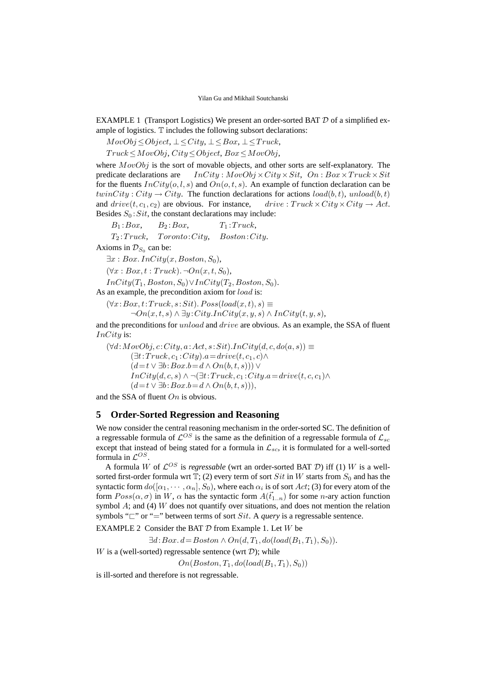EXAMPLE 1 (Transport Logistics) We present an order-sorted BAT  $D$  of a simplified example of logistics. T includes the following subsort declarations:

 $MovObj \leq Object, \perp \leq City, \perp \leq Box, \perp \leq Truck,$ 

 $Truck \leq MovObj, City \leq Object, Box \leq MovObj,$ 

where  $MovObj$  is the sort of movable objects, and other sorts are self-explanatory. The predicate declarations are  $InCity: MovObj \times City \times Sit, On: Box \times Truek \times Sit$ for the fluents  $InCity(o, l, s)$  and  $On(o, t, s)$ . An example of function declaration can be twinCity : City  $\rightarrow$  City. The function declarations for actions  $load(b, t)$ , unload $(b, t)$ and  $drive(t, c_1, c_2)$  are obvious. For instance, drive :  $Truck \times City \times City \rightarrow Act$ . Besides  $S_0$ : Sit, the constant declarations may include:

 $B_1 : Box, \qquad B_2 : Box, \qquad T_1 : Truek,$ 

 $T_2:Truck, Toronto:City, Boston:City.$ 

Axioms in  $\mathcal{D}_{S_0}$  can be:

 $\exists x : Box.$   $InCity(x, Boston, S_0),$ 

 $(\forall x : Box, t : Truek)$ .  $\neg On(x, t, S_0)$ ,

 $InCity(T_1, Boston, S_0) \vee InCity(T_2, Boston, S_0).$ 

As an example, the precondition axiom for *load* is:

 $(\forall x:Box, t:Truck, s: Sit). Poss(load(x, t), s) \equiv$  $\neg On(x,t,s) \land \exists y \colon City.$ *InCity* $(x,y,s) \land InCity(t,y,s),$ 

and the preconditions for unload and drive are obvious. As an example, the SSA of fluent InCity is:

 $(\forall d: MovObj, c:City, a:Act, s: Sit). InCity(d, c, do(a, s)) \equiv$  $(\exists t:Truck, c_1:City).a=drive(t,c_1,c)\wedge$  $(d=t \vee \exists b:Box.b=d \wedge On(b,t,s))) \vee$  $InCity(d, c, s) \wedge \neg (\exists t: Truck, c_1: City.a = drive(t, c, c_1) \wedge$  $(d=t \vee \exists b:Box.b=d \wedge On(b,t,s)))$ ,

and the SSA of fluent  $On$  is obvious.

# **5 Order-Sorted Regression and Reasoning**

We now consider the central reasoning mechanism in the order-sorted SC. The definition of a regressable formula of  $\mathcal{L}^{OS}$  is the same as the definition of a regressable formula of  $\mathcal{L}_{sc}$ except that instead of being stated for a formula in  $\mathcal{L}_{sc}$ , it is formulated for a well-sorted formula in  $\mathcal{L}^{OS}$ .

A formula W of  $\mathcal{L}^{OS}$  is *regressable* (wrt an order-sorted BAT D) iff (1) W is a wellsorted first-order formula wrt  $\mathbb{T}$ ; (2) every term of sort Sit in W starts from  $S_0$  and has the syntactic form  $do([\alpha_1, \cdots, \alpha_n], S_0)$ , where each  $\alpha_i$  is of sort  $Act$ ; (3) for every atom of the form  $Poss(\alpha, \sigma)$  in W,  $\alpha$  has the syntactic form  $A(\vec{t}_{1n})$  for some n-ary action function symbol  $A$ ; and (4) W does not quantify over situations, and does not mention the relation symbols " $\Box$ " or "=" between terms of sort *Sit*. A *query* is a regressable sentence.

EXAMPLE 2 Consider the BAT  $D$  from Example 1. Let  $W$  be

 $\exists d:Box. d = Boston \land On(d, T_1, do (load(B_1, T_1), S_0)).$ 

W is a (well-sorted) regressable sentence (wrt  $\mathcal{D}$ ); while

 $On(Boston, T_1, do (load(B_1, T_1), S_0))$ 

is ill-sorted and therefore is not regressable.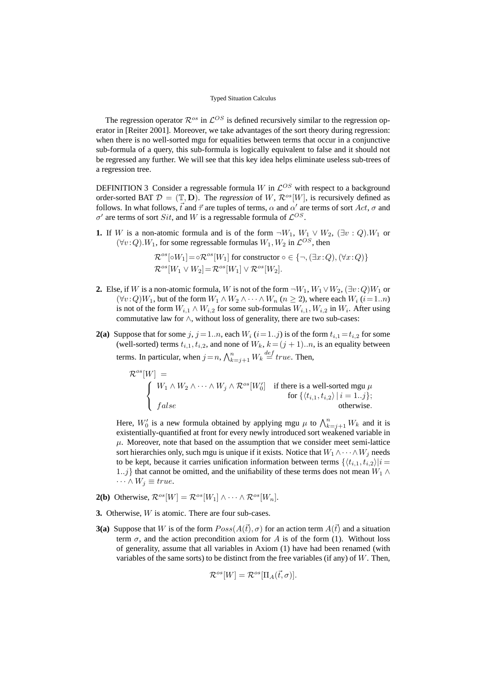The regression operator  $\mathcal{R}^{os}$  in  $\mathcal{L}^{OS}$  is defined recursively similar to the regression operator in [Reiter 2001]. Moreover, we take advantages of the sort theory during regression: when there is no well-sorted mgu for equalities between terms that occur in a conjunctive sub-formula of a query, this sub-formula is logically equivalent to false and it should not be regressed any further. We will see that this key idea helps eliminate useless sub-trees of a regression tree.

DEFINITION 3 Consider a regressable formula W in  $\mathcal{L}^{OS}$  with respect to a background order-sorted BAT  $\mathcal{D} = (\mathbb{T}, D)$ . The *regression* of W,  $\mathcal{R}^{os}[W]$ , is recursively defined as follows. In what follows,  $\vec{t}$  and  $\vec{\tau}$  are tuples of terms,  $\alpha$  and  $\alpha'$  are terms of sort Act,  $\sigma$  and  $\sigma'$  are terms of sort *Sit*, and W is a regressable formula of  $\mathcal{L}^{OS}$ .

**1.** If W is a non-atomic formula and is of the form  $\neg W_1$ ,  $W_1 \lor W_2$ ,  $(\exists v : Q) . W_1$  or  $(\forall v : Q)$ . W<sub>1</sub>, for some regressable formulas  $W_1, W_2$  in  $\mathcal{L}^{OS}$ , then

$$
\mathcal{R}^{os}[\circ W_1] = \circ \mathcal{R}^{os}[W_1]
$$
 for constructor  $\circ \in \{\neg, (\exists x : Q), (\forall x : Q)\}\$   

$$
\mathcal{R}^{os}[W_1 \vee W_2] = \mathcal{R}^{os}[W_1] \vee \mathcal{R}^{os}[W_2].
$$

- **2.** Else, if W is a non-atomic formula, W is not of the form  $\neg W_1, W_1 \lor W_2, (\exists v : Q)W_1$  or  $(\forall v : Q)W_1$ , but of the form  $W_1 \wedge W_2 \wedge \cdots \wedge W_n$   $(n \ge 2)$ , where each  $W_i$   $(i=1..n)$ is not of the form  $W_{i,1} \wedge W_{i,2}$  for some sub-formulas  $W_{i,1}, W_{i,2}$  in  $W_i$ . After using commutative law for ∧, without loss of generality, there are two sub-cases:
- **2(a)** Suppose that for some j,  $j = 1..n$ , each  $W_i$  ( $i = 1..j$ ) is of the form  $t_{i,1} = t_{i,2}$  for some (well-sorted) terms  $t_{i,1}, t_{i,2}$ , and none of  $W_k$ ,  $k = (j + 1)...n$ , is an equality between terms. In particular, when  $j = n$ ,  $\bigwedge_{k=j+1}^{n} W_k \stackrel{def}{=} true$ . Then,

$$
\mathcal{R}^{os}[W] = \n\begin{cases}\nW_1 \wedge W_2 \wedge \cdots \wedge W_j \wedge \mathcal{R}^{os}[W_0'] & \text{if there is a well-sorted mgu } \mu \\
\text{for } \{(t_{i,1}, t_{i,2}) \mid i = 1..j\}; \\
false & \text{otherwise.} \n\end{cases}
$$

Here,  $W'_0$  is a new formula obtained by applying mgu  $\mu$  to  $\bigwedge_{k=j+1}^n W_k$  and it is existentially-quantified at front for every newly introduced sort weakened variable in  $\mu$ . Moreover, note that based on the assumption that we consider meet semi-lattice sort hierarchies only, such mgu is unique if it exists. Notice that  $W_1 \wedge \cdots \wedge W_j$  needs to be kept, because it carries unification information between terms  $\{\langle t_{i,1}, t_{i,2}\rangle | i =$ 1..j} that cannot be omitted, and the unifiability of these terms does not mean  $W_1$  ∧  $\cdots \wedge W_i \equiv true.$ 

- **2(b)** Otherwise,  $\mathcal{R}^{os}[W] = \mathcal{R}^{os}[W_1] \wedge \cdots \wedge \mathcal{R}^{os}[W_n].$
- **3.** Otherwise, W is atomic. There are four sub-cases.
- **3(a)** Suppose that W is of the form  $Poss(A(\vec{t}), \sigma)$  for an action term  $A(\vec{t})$  and a situation term  $\sigma$ , and the action precondition axiom for A is of the form (1). Without loss of generality, assume that all variables in Axiom (1) have had been renamed (with variables of the same sorts) to be distinct from the free variables (if any) of  $W$ . Then,

$$
\mathcal{R}^{os}[W] = \mathcal{R}^{os}[\Pi_A(\vec{t}, \sigma)].
$$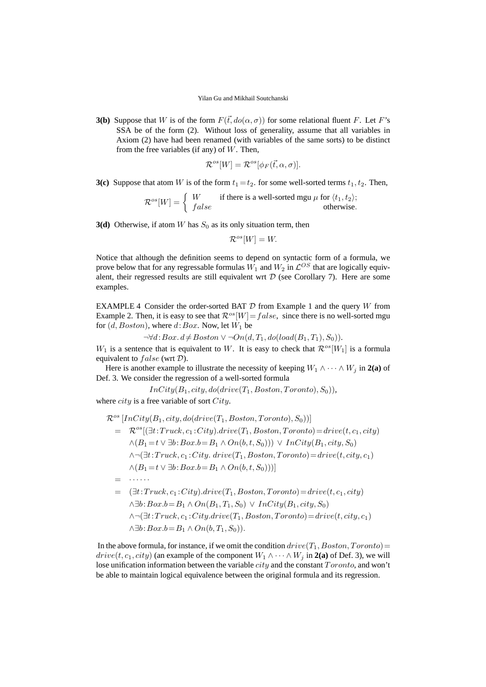**3(b)** Suppose that W is of the form  $F(\vec{t},do(\alpha,\sigma))$  for some relational fluent F. Let F's SSA be of the form (2). Without loss of generality, assume that all variables in Axiom (2) have had been renamed (with variables of the same sorts) to be distinct from the free variables (if any) of  $W$ . Then,

$$
\mathcal{R}^{os}[W] = \mathcal{R}^{os}[\phi_F(\vec{t}, \alpha, \sigma)].
$$

**3(c)** Suppose that atom W is of the form  $t_1 = t_2$ . for some well-sorted terms  $t_1, t_2$ . Then,

$$
\mathcal{R}^{os}[W] = \begin{cases} W & \text{if there is a well-sorted mgu } \mu \text{ for } \langle t_1, t_2 \rangle; \\ false & \text{otherwise.} \end{cases}
$$

**3(d)** Otherwise, if atom W has  $S_0$  as its only situation term, then

 $\mathcal{R}^{os}[W] = W.$ 

Notice that although the definition seems to depend on syntactic form of a formula, we prove below that for any regressable formulas  $W_1$  and  $W_2$  in  $\mathcal{L}^{OS}$  that are logically equivalent, their regressed results are still equivalent wrt  $D$  (see Corollary 7). Here are some examples.

EXAMPLE 4 Consider the order-sorted BAT  $D$  from Example 1 and the query W from Example 2. Then, it is easy to see that  $\mathcal{R}^{os}[W] = false$ , since there is no well-sorted mgu for  $(d, Boston)$ , where  $d:Box$ . Now, let  $W_1$  be

 $\neg \forall d: Box. d \neq Boston \lor \neg On(d, T_1, do (load(B_1, T_1), S_0)).$ 

 $W_1$  is a sentence that is equivalent to W. It is easy to check that  $\mathcal{R}^{os}[W_1]$  is a formula equivalent to  $false$  (wrt  $D$ ).

Here is another example to illustrate the necessity of keeping  $W_1 \wedge \cdots \wedge W_j$  in 2(a) of Def. 3. We consider the regression of a well-sorted formula

 $InCity(B_1,city,do(drive(T_1, Boston, Toronto),S_0)),$ 

where  $city$  is a free variable of sort  $City$ .

$$
\mathcal{R}^{os}[InCity(B_1, city, do(drive(T_1, Boston, Toronto), S_0))]
$$
\n
$$
= \mathcal{R}^{os}[(\exists t:Truck, c_1:City).drive(T_1, Boston, Toronto) = drive(t, c_1, city) \land (B_1 = t \lor \exists b:Box.b = B_1 \land On(b, t, S_0))) \lor InCity(B_1, city, S_0) \land \neg(\exists t:Truck, c_1:City. drive(T_1, Boston, Toronto) = drive(t, city, c_1) \land (B_1 = t \lor \exists b:Box.b = B_1 \land On(b, t, S_0)))]
$$
\n
$$
= \cdots \cdots
$$
\n
$$
= (\exists t:Truck, c_1:City).drive(T_1, Boston, Toronto) = drive(t, c_1, city) \land \exists b:Box.b = B_1 \land On(B_1, T_1, S_0) \lor InCity(B_1, city, S_0)
$$

 $\wedge \neg (\exists t \colon Truek, c_1 \colon City \text{.} drive(T_1, Boston, Toronto) = drive(t, city, c_1)$  $\wedge \exists b : Box.b = B_1 \wedge On(b, T_1, S_0)$ .

In the above formula, for instance, if we omit the condition  $drive(T_1, Boston, Toronto)$  $drive(t, c_1, city)$  (an example of the component  $W_1 \wedge \cdots \wedge W_j$  in 2(a) of Def. 3), we will lose unification information between the variable city and the constant Toronto, and won't be able to maintain logical equivalence between the original formula and its regression.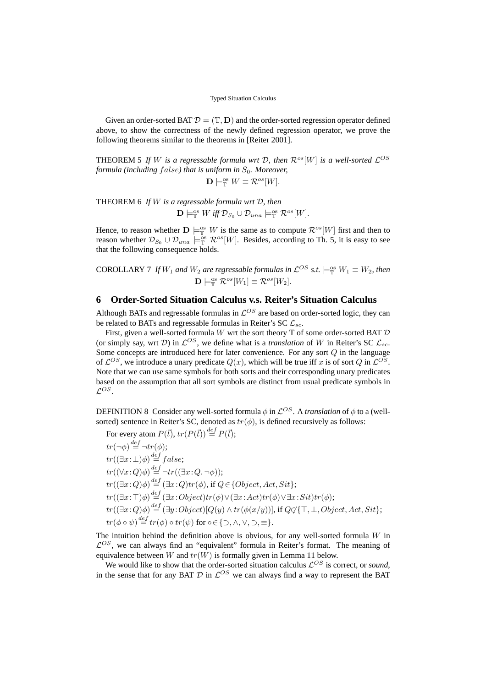Given an order-sorted BAT  $\mathcal{D} = (\mathbb{T}, \mathbf{D})$  and the order-sorted regression operator defined above, to show the correctness of the newly defined regression operator, we prove the following theorems similar to the theorems in [Reiter 2001].

THEOREM 5 If W is a regressable formula wrt D, then  $\mathcal{R}^{os}[W]$  is a well-sorted  $\mathcal{L}^{OS}$ *formula (including false) that is uniform in*  $S_0$ *. Moreover,* 

 $\mathbf{D} \models^{\text{os}}_{\mathbb{T}} W \equiv \mathcal{R}^{os}[W].$ 

THEOREM 6 *If* W *is a regressable formula wrt* D*, then*  $\mathbf{D} \models_{\mathbb{T}}^{\text{os}} W \text{ iff } \mathcal{D}_{S_0} \cup \mathcal{D}_{una} \models_{\mathbb{T}}^{\text{os}} \mathcal{R}^{os}[W].$ 

Hence, to reason whether  $\mathbf{D} \models^{\text{os}}_{\mathbb{T}} W$  is the same as to compute  $\mathcal{R}^{os}[W]$  first and then to reason whether  $\mathcal{D}_{S_0} \cup \mathcal{D}_{una} \models^{\text{os}}_{\mathbb{T}} \mathcal{R}^{os}[W]$ . Besides, according to Th. 5, it is easy to see that the following consequence holds.

COROLLARY 7 If  $W_1$  and  $W_2$  are regressable formulas in  $\mathcal{L}^{OS}$  s.t.  $\models^{\text{os}}_{\mathbb{T}} W_1 \equiv W_2$ , then  $\mathbf{D} \models_{\mathbb{T}}^{\text{os}} \mathcal{R}^{os}[W_1] \equiv \mathcal{R}^{os}[W_2].$ 

# **6 Order-Sorted Situation Calculus v.s. Reiter's Situation Calculus**

Although BATs and regressable formulas in  $\mathcal{L}^{OS}$  are based on order-sorted logic, they can be related to BATs and regressable formulas in Reiter's SC  $\mathcal{L}_{sc}$ .

First, given a well-sorted formula  $W$  wrt the sort theory  $\mathbb T$  of some order-sorted BAT  $\mathcal D$ (or simply say, wrt D) in  $\mathcal{L}^{OS}$ , we define what is a *translation* of W in Reiter's SC  $\mathcal{L}_{sc}$ . Some concepts are introduced here for later convenience. For any sort  $Q$  in the language of  $\mathcal{L}^{OS}$ , we introduce a unary predicate  $Q(x)$ , which will be true iff x is of sort Q in  $\mathcal{L}^{OS}$ . Note that we can use same symbols for both sorts and their corresponding unary predicates based on the assumption that all sort symbols are distinct from usual predicate symbols in  $\mathcal{L}^{OS}.$ 

DEFINITION 8 Consider any well-sorted formula  $\phi$  in  $\mathcal{L}^{OS}$ . A *translation* of  $\phi$  to a (wellsorted) sentence in Reiter's SC, denoted as  $tr(\phi)$ , is defined recursively as follows:

For every atom  $P(\vec{t})$ ,  $tr(P(\vec{t})) \stackrel{def}{=} P(\vec{t})$ ;  $tr(\neg \phi) \stackrel{def}{=} \neg tr(\phi);$  $tr((\exists x:\bot)\phi) \stackrel{def}{=} false;$  $tr((\forall x:Q)\phi) \stackrel{def}{=} \neg tr((\exists x:Q.\neg\phi));$  $tr((\exists x:Q)\phi) \stackrel{def}{=} (\exists x:Q) tr(\phi)$ , if  $Q \in \{Object,Act,Stt\};$  $tr((\exists x\cdot \top)\phi) \stackrel{def}{=} (\exists x\cdot Object)tr(\phi)\vee(\exists x\cdot Act)tr(\phi)\vee \exists x\cdot Sit)tr(\phi);$  $tr((\exists x\!:\!Q)\phi) \mathop{=}\limits^{def} (\exists y\!:\!Object)[Q(y) \wedge tr(\phi(x/y))],$  if  $Q \not\in \{\top,\bot, Object, Act, Sit\};$  $tr(\phi \circ \psi) \stackrel{def}{=} tr(\phi) \circ tr(\psi)$  for ∘∈ {⊃, ∧, ∨, ⊃, ≡}.

The intuition behind the definition above is obvious, for any well-sorted formula  $W$  in  $\mathcal{L}^{OS}$ , we can always find an "equivalent" formula in Reiter's format. The meaning of equivalence between W and  $tr(W)$  is formally given in Lemma 11 below.

We would like to show that the order-sorted situation calculus  $\mathcal{L}^{OS}$  is correct, or *sound*, in the sense that for any BAT  $D$  in  $\mathcal{L}^{OS}$  we can always find a way to represent the BAT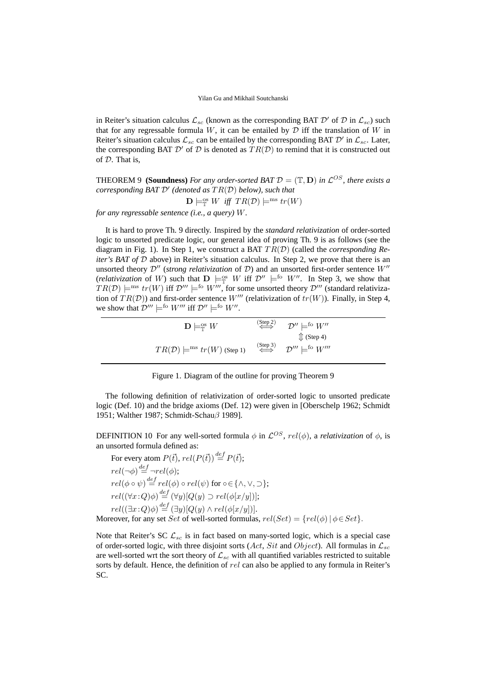in Reiter's situation calculus  $\mathcal{L}_{sc}$  (known as the corresponding BAT  $\mathcal{D}'$  of  $\mathcal{D}$  in  $\mathcal{L}_{sc}$ ) such that for any regressable formula  $W$ , it can be entailed by  $D$  iff the translation of  $W$  in Reiter's situation calculus  $\mathcal{L}_{sc}$  can be entailed by the corresponding BAT  $\mathcal{D}'$  in  $\mathcal{L}_{sc}$ . Later, the corresponding BAT  $\mathcal{D}'$  of  $\mathcal D$  is denoted as  $TR(\mathcal D)$  to remind that it is constructed out of D. That is,

**THEOREM 9 (Soundness)** For any order-sorted BAT  $\mathcal{D} = (\mathbb{T}, \mathbf{D})$  in  $\mathcal{L}^{OS}$ , there exists a *corresponding BAT* D′ *(denoted as* TR(D) *below), such that*

$$
\mathbf{D} \models_{\mathbb{T}}^{\text{os}} W \text{ iff } TR(\mathcal{D}) \models^{\text{ms}} tr(W)
$$

*for any regressable sentence (i.e., a query)* W*.*

It is hard to prove Th. 9 directly. Inspired by the *standard relativization* of order-sorted logic to unsorted predicate logic, our general idea of proving Th. 9 is as follows (see the diagram in Fig. 1). In Step 1, we construct a BAT TR(D) (called the *corresponding Reiter's BAT of*  $D$  above) in Reiter's situation calculus. In Step 2, we prove that there is an unsorted theory  $\mathcal{D}''$  (*strong relativization* of  $\mathcal{D}$ ) and an unsorted first-order sentence  $W''$ (*relativization* of W) such that  $D \models_{\mathbb{T}}^{\infty} W$  iff  $\mathcal{D}'' \models^{\text{fo}} W''$ . In Step 3, we show that  $TR(\mathcal{D}) \models^{ms} tr(W)$  iff  $\mathcal{D}''' \models^{fo} W'''$ , for some unsorted theory  $\mathcal{D}'''$  (standard relativization of  $TR(D)$ ) and first-order sentence W''' (relativization of  $tr(W)$ ). Finally, in Step 4, we show that  $\mathcal{D}^{\prime\prime\prime} \models^{\text{fo}} W^{\prime\prime\prime}$  iff  $\mathcal{D}^{\prime\prime} \models^{\text{fo}} W^{\prime\prime}$ .

| $\mathbf{D}\models_{\mathbb{T}}^{\text{os}} W$ | $\overset{\text{(Step 2)}}{\iff}$ $\mathcal{D}'' \models^{\text{fo}} W''$                            |
|------------------------------------------------|------------------------------------------------------------------------------------------------------|
| $TR(\mathcal{D}) \models^{ms} tr(W)$ (Step 1)  | $\mathbb{I}$ (Step 4)<br>$\overset{\text{(Step 3)}}{\iff}$ $\mathcal{D}''' \models^{\text{fo}} W'''$ |

Figure 1. Diagram of the outline for proving Theorem 9

The following definition of relativization of order-sorted logic to unsorted predicate logic (Def. 10) and the bridge axioms (Def. 12) were given in [Oberschelp 1962; Schmidt 1951; Walther 1987; Schmidt-Schau β 1989].

DEFINITION 10 For any well-sorted formula  $\phi$  in  $\mathcal{L}^{OS}$ ,  $rel(\phi)$ , a *relativization* of  $\phi$ , is an unsorted formula defined as:

For every atom  $P(\vec{t})$ ,  $rel(P(\vec{t})) \stackrel{def}{=} P(\vec{t})$ ;  $rel(\neg \phi) \stackrel{def}{=} \neg rel(\phi);$  $rel(\phi \circ \psi) \stackrel{def}{=} rel(\phi) \circ rel(\psi)$  for ∘∈ {∧,∨, ⊃};  $rel((\forall x:Q)\phi) \stackrel{def}{=} (\forall y)[Q(y) \supset rel(\phi[x/y])];$  $rel((\exists x:Q)\phi) \stackrel{def}{=} (\exists y)[Q(y) \wedge rel(\phi[x/y])].$ Moreover, for any set Set of well-sorted formulas,  $rel(Set) = \{rel(\phi) | \phi \in Set\}$ .

Note that Reiter's SC  $\mathcal{L}_{sc}$  is in fact based on many-sorted logic, which is a special case of order-sorted logic, with three disjoint sorts (Act, Sit and Object). All formulas in  $\mathcal{L}_{sc}$ are well-sorted wrt the sort theory of  $\mathcal{L}_{sc}$  with all quantified variables restricted to suitable sorts by default. Hence, the definition of rel can also be applied to any formula in Reiter's SC.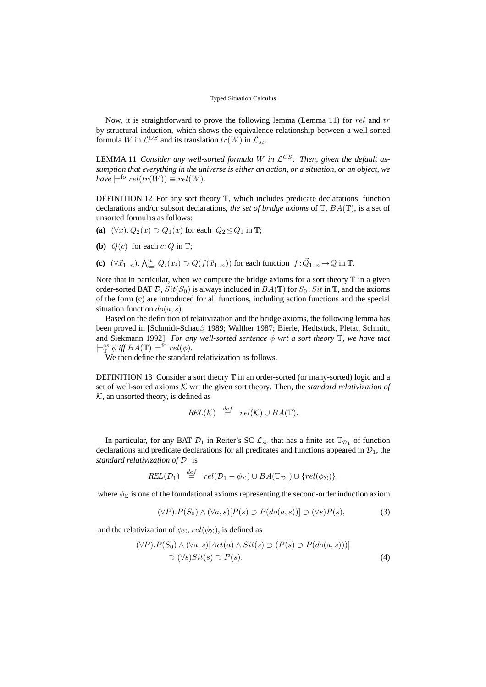Now, it is straightforward to prove the following lemma (Lemma 11) for rel and tr by structural induction, which shows the equivalence relationship between a well-sorted formula W in  $\mathcal{L}^{OS}$  and its translation  $tr(W)$  in  $\mathcal{L}_{sc}$ .

LEMMA 11 *Consider any well-sorted formula W in*  $\mathcal{L}^{OS}$ . Then, given the default as*sumption that everything in the universe is either an action, or a situation, or an object, we*  $have \models^{f \circ rel(tr(W)) \equiv rel(W).$ 

DEFINITION 12 For any sort theory  $T$ , which includes predicate declarations, function declarations and/or subsort declarations, *the set of bridge axioms* of T, BA(T), is a set of unsorted formulas as follows:

- (a)  $(\forall x)$ .  $Q_2(x) \supset Q_1(x)$  for each  $Q_2 \leq Q_1$  in T;
- **(b)**  $Q(c)$  for each  $c:Q$  in  $T$ ;
- **(c)**  $(\forall \vec{x}_{1..n})$ .  $\bigwedge_{i=1}^{n} Q_i(x_i) \supset Q(f(\vec{x}_{1..n}))$  for each function  $f : \vec{Q}_{1..n} \to Q$  in  $\mathbb{T}$ .

Note that in particular, when we compute the bridge axioms for a sort theory  $\mathbb T$  in a given order-sorted BAT  $\mathcal{D}$ ,  $Sit(S_0)$  is always included in  $BA(\mathbb{T})$  for  $S_0: Sit$  in  $\mathbb{T}$ , and the axioms of the form (c) are introduced for all functions, including action functions and the special situation function  $do(a, s)$ .

Based on the definition of relativization and the bridge axioms, the following lemma has been proved in [Schmidt-Schau $\beta$  1989; Walther 1987; Bierle, Hedtstück, Pletat, Schmitt, and Siekmann 1992]: *For any well-sorted sentence* φ *wrt a sort theory* T*, we have that*  $\models_{\mathbb{T}}^{\infty} \phi \text{ iff } BA(\mathbb{T}) \models^{\text{fo}} rel(\phi).$ 

We then define the standard relativization as follows.

DEFINITION 13 Consider a sort theory  $\mathbb T$  in an order-sorted (or many-sorted) logic and a set of well-sorted axioms K wrt the given sort theory. Then, the *standard relativization of*  $K$ , an unsorted theory, is defined as

$$
REL(\mathcal{K}) \stackrel{def}{=} rel(\mathcal{K}) \cup BA(\mathbb{T}).
$$

In particular, for any BAT  $\mathcal{D}_1$  in Reiter's SC  $\mathcal{L}_{sc}$  that has a finite set  $\mathbb{T}_{\mathcal{D}_1}$  of function declarations and predicate declarations for all predicates and functions appeared in  $\mathcal{D}_1$ , the *standard relativization of*  $\mathcal{D}_1$  is

$$
REL(\mathcal{D}_1) \stackrel{def}{=} rel(\mathcal{D}_1 - \phi_{\Sigma}) \cup BA(\mathbb{T}_{\mathcal{D}_1}) \cup \{ rel(\phi_{\Sigma}) \},
$$

where  $\phi_{\Sigma}$  is one of the foundational axioms representing the second-order induction axiom

$$
(\forall P).P(S_0) \land (\forall a, s)[P(s) \supset P(do(a, s))] \supset (\forall s)P(s),\tag{3}
$$

and the relativization of  $\phi_{\Sigma}$ ,  $rel(\phi_{\Sigma})$ , is defined as

$$
(\forall P).P(S_0) \land (\forall a, s)[Act(a) \land Sit(s) \supset (P(s) \supset P(do(a, s)))]
$$
  
 
$$
\supset (\forall s) Sit(s) \supset P(s).
$$
 (4)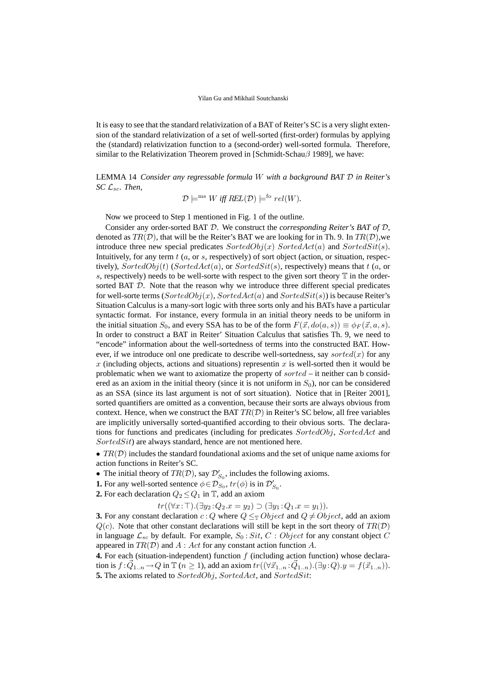It is easy to see that the standard relativization of a BAT of Reiter's SC is a very slight extension of the standard relativization of a set of well-sorted (first-order) formulas by applying the (standard) relativization function to a (second-order) well-sorted formula. Therefore, similar to the Relativization Theorem proved in [Schmidt-Schau $\beta$  1989], we have:

LEMMA 14 *Consider any regressable formula* W *with a background BAT* D *in Reiter's SC* Lsc*. Then,*

$$
\mathcal{D} \models^{\text{ms}} W \text{ iff } REL(\mathcal{D}) \models^{\text{fo}} rel(W).
$$

Now we proceed to Step 1 mentioned in Fig. 1 of the outline.

Consider any order-sorted BAT D. We construct the *corresponding Reiter's BAT of* D, denoted as  $TR(\mathcal{D})$ , that will be the Reiter's BAT we are looking for in Th. 9. In  $TR(\mathcal{D})$ , we introduce three new special predicates  $SortedObj(x)$  Sorted $Act(a)$  and SortedSit(s). Intuitively, for any term  $t$  (a, or s, respectively) of sort object (action, or situation, respectively),  $SortedObj(t)$  ( $SortedAct(a)$ , or  $SortedSit(s)$ , respectively) means that  $t$  (a, or s, respectively) needs to be well-sorte with respect to the given sort theory  $\mathbb T$  in the ordersorted BAT D. Note that the reason why we introduce three different special predicates for well-sorte terms ( $SortedObj(x)$ ,  $SortedAct(a)$  and  $SortedSit(s)$ ) is because Reiter's Situation Calculus is a many-sort logic with three sorts only and his BATs have a particular syntactic format. For instance, every formula in an initial theory needs to be uniform in the initial situation  $S_0$ , and every SSA has to be of the form  $F(\vec{x},do(a,s)) \equiv \phi_F(\vec{x},a,s)$ . In order to construct a BAT in Reiter' Situation Calculus that satisfies Th. 9, we need to "encode" information about the well-sortedness of terms into the constructed BAT. However, if we introduce onl one predicate to describe well-sortedness, say sorted(x) for any x (including objects, actions and situations) representin x is well-sorted then it would be problematic when we want to axiomatize the property of  $sorted$  – it neither can b considered as an axiom in the initial theory (since it is not uniform in  $S_0$ ), nor can be considered as an SSA (since its last argument is not of sort situation). Notice that in [Reiter 2001], sorted quantifiers are omitted as a convention, because their sorts are always obvious from context. Hence, when we construct the BAT  $TR(D)$  in Reiter's SC below, all free variables are implicitly universally sorted-quantified according to their obvious sorts. The declarations for functions and predicates (including for predicates SortedObj, SortedAct and SortedSit) are always standard, hence are not mentioned here.

•  $TR(D)$  includes the standard foundational axioms and the set of unique name axioms for action functions in Reiter's SC.

- The initial theory of  $TR(D)$ , say  $\mathcal{D}'_{S_0}$ , includes the following axioms.
- **1.** For any well-sorted sentence  $\phi \in \mathcal{D}_{S_0}$ ,  $tr(\phi)$  is in  $\mathcal{D}_{S_0}'$ .
- **2.** For each declaration  $Q_2 \leq Q_1$  in  $\mathbb{T}$ , add an axiom

 $tr((\forall x:\top).(\exists y_2:Q_2.x=y_2)\supset(\exists y_1:Q_1.x=y_1)).$ 

**3.** For any constant declaration c: Q where  $Q \leq_T Object$  and  $Q \neq Object$ , add an axiom  $Q(c)$ . Note that other constant declarations will still be kept in the sort theory of  $TR(\mathcal{D})$ in language  $\mathcal{L}_{sc}$  by default. For example,  $S_0 : Sit, C : Object$  for any constant object C appeared in  $TR(\mathcal{D})$  and  $A: Act$  for any constant action function A.

**4.** For each (situation-independent) function f (including action function) whose declaration is  $f: \vec{Q}_{1..n} \to Q$  in  $\mathbb{T}$   $(n \geq 1)$ , add an axiom  $tr((\forall \vec{x}_{1..n}: \vec{Q}_{1..n}).(\exists y:Q).y = f(\vec{x}_{1..n})).$ **5.** The axioms related to SortedObj, SortedAct, and SortedSit: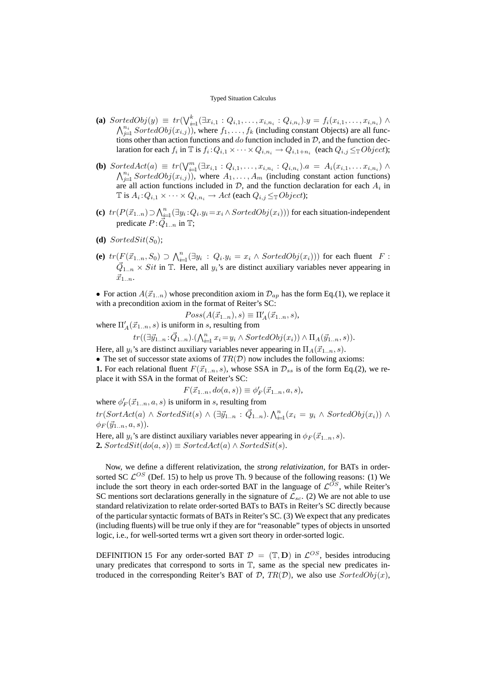- **(a)** SortedObj $(y) \equiv tr(\bigvee_{i=1}^{k} (\exists x_{i,1} : Q_{i,1}, \ldots, x_{i,n_i} : Q_{i,n_i}) \cdot y = f_i(x_{i,1}, \ldots, x_{i,n_i}) \wedge$  $\bigwedge_{j=1}^{n_i} SortedObj(x_{i,j})$ , where  $f_1, \ldots, f_k$  (including constant Objects) are all functions other than action functions and do function included in  $D$ , and the function declaration for each  $f_i$  in  $\mathbb T$  is  $f_i: Q_{i,1} \times \cdots \times Q_{i,n_i} \to Q_{i,1+n_i}$  (each  $Q_{i,j} \leq_{\mathbb T} Object$ );
- **(b)** SortedAct(a)  $\equiv tr(\bigvee_{i=1}^{m} (\exists x_{i,1} : Q_{i,1}, \ldots, x_{i,n_i} : Q_{i,n_i}) \land ... \in A_i(x_{i,1}, \ldots, x_{i,n_i}) \land ...$  $\bigwedge_{j=1}^{n_i} SortedObj(x_{i,j})$ , where  $A_1, \ldots, A_m$  (including constant action functions) are all action functions included in  $D$ , and the function declaration for each  $A_i$  in  $\mathbb T$  is  $A_i: Q_{i,1} \times \cdots \times Q_{i,n_i} \to Act$  (each  $Q_{i,j} \leq_{\mathbb T} Object$ );
- (c)  $tr(P(\vec{x}_{1..n}) \supset \bigwedge_{i=1}^{n} (\exists y_i : Q_i \cdot y_i = x_i \wedge SortedObj(x_i)))$  for each situation-independent predicate  $P: \vec{Q}_{1..n}$  in T;
- **(d)** SortedSit $(S_0)$ ;
- **(e)**  $tr(F(\vec{x}_{1..n}, S_0) \supset \bigwedge_{i=1}^n (\exists y_i : Q_i \cdot y_i = x_i \wedge SortedObj(x_i)))$  for each fluent  $F$ :  $\vec{Q}_{1..n} \times Sit$  in T. Here, all  $y_i$ 's are distinct auxiliary variables never appearing in  $\vec{x}_{1..n}$ .

• For action  $A(\vec{x}_{1..n})$  whose precondition axiom in  $\mathcal{D}_{ap}$  has the form Eq.(1), we replace it with a precondition axiom in the format of Reiter's SC:

 $Poss(A(\vec{x}_{1..n}),s) \equiv \Pi'_{A}(\vec{x}_{1..n},s),$ where  $\Pi'_{A}(\vec{x}_{1..n},s)$  is uniform in s, resulting from

 $tr((\exists \vec{y}_{1..n}:\vec{Q}_{1..n}).(\bigwedge_{i=1}^n x_i=y_i \wedge SortedObj(x_i)) \wedge \Pi_A(\vec{y}_{1..n},s)).$ 

Here, all  $y_i$ 's are distinct auxiliary variables never appearing in  $\Pi_A(\vec{x}_{1..n},s)$ .

• The set of successor state axioms of  $TR(D)$  now includes the following axioms:

**1.** For each relational fluent  $F(\vec{x}_{1..n},s)$ , whose SSA in  $\mathcal{D}_{ss}$  is of the form Eq.(2), we replace it with SSA in the format of Reiter's SC:

$$
F(\vec{x}_{1..n}, do(a,s)) \equiv \phi'_F(\vec{x}_{1..n}, a, s),
$$

where  $\phi'_F(\vec{x}_{1..n},a,s)$  is uniform in s, resulting from

 $tr(SortAct(a) \wedge SortedSt(s) \wedge (\exists \vec{y}_{1..n} : \vec{Q}_{1..n}) \ldotp \bigwedge_{i=1}^{n} (x_i = y_i \wedge SortedObj(x_i)) \wedge$  $\phi_F(\vec{y}_{1..n},a,s)$ ).

Here, all  $y_i$ 's are distinct auxiliary variables never appearing in  $\phi_F(\vec{x}_{1..n},s)$ . **2.** SortedSit(do(a, s))  $\equiv SortedAct(a) \wedge SortedSt(s)$ .

Now, we define a different relativization, the *strong relativization*, for BATs in ordersorted SC  $\mathcal{L}^{OS}$  (Def. 15) to help us prove Th. 9 because of the following reasons: (1) We include the sort theory in each order-sorted BAT in the language of  $\mathcal{L}^{OS}$ , while Reiter's SC mentions sort declarations generally in the signature of  $\mathcal{L}_{sc}$ . (2) We are not able to use standard relativization to relate order-sorted BATs to BATs in Reiter's SC directly because of the particular syntactic formats of BATs in Reiter's SC. (3) We expect that any predicates (including fluents) will be true only if they are for "reasonable" types of objects in unsorted logic, i.e., for well-sorted terms wrt a given sort theory in order-sorted logic.

DEFINITION 15 For any order-sorted BAT  $\mathcal{D} = (\mathbb{T}, \mathbf{D})$  in  $\mathcal{L}^{OS}$ , besides introducing unary predicates that correspond to sorts in  $T$ , same as the special new predicates introduced in the corresponding Reiter's BAT of  $D$ ,  $TR(D)$ , we also use  $SortedObj(x)$ ,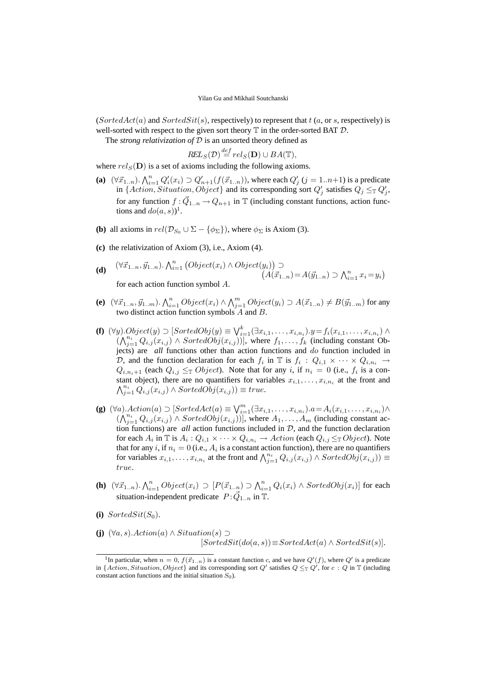(Sorted $Act(a)$  and SortedSit(s), respectively) to represent that  $t(a, or s, respectively)$  is well-sorted with respect to the given sort theory  $\mathbb T$  in the order-sorted BAT  $\mathcal D$ .

The *strong relativization of* D is an unsorted theory defined as

$$
REL_S(\mathcal{D}) \stackrel{def}{=} rel_S(\mathbf{D}) \cup BA(\mathbb{T}),
$$

where  $rel_S(D)$  is a set of axioms including the following axioms.

- **(a)**  $(\forall \vec{x}_{1..n})$ .  $\bigwedge_{i=1}^{n} Q'_i(x_i) \supset Q'_{n+1}(f(\vec{x}_{1..n}))$ , where each  $Q'_j$   $(j = 1..n+1)$  is a predicate in {Action, Situation, Object} and its corresponding sort  $Q'_j$  satisfies  $Q_j \leq_{\mathbb{T}} Q'_j$ , for any function  $f: \vec{Q}_{1..n} \to Q_{n+1}$  in T (including constant functions, action functions and  $do(a, s)$ <sup>1</sup>.
- **(b)** all axioms in  $rel(\mathcal{D}_{S_0} \cup \Sigma \{\phi_{\Sigma}\})$ , where  $\phi_{\Sigma}$  is Axiom (3).
- **(c)** the relativization of Axiom (3), i.e., Axiom (4).

(d) 
$$
(\forall \vec{x}_{1..n}, \vec{y}_{1..n}) \cdot \bigwedge_{i=1}^{n} (Object(x_i) \land Object(y_i)) \supset (A(\vec{x}_{1..n}) = A(\vec{y}_{1..n}) \supset \bigwedge_{i=1}^{n} x_i = y_i)
$$
  
for each action function symbol A.

- (e)  $(\forall \vec{x}_{1..n}, \vec{y}_{1..m}) \cdot \bigwedge_{i=1}^n Object(x_i) \wedge \bigwedge_{j=1}^m Object(y_i) \supset A(\vec{x}_{1..n}) \neq B(\vec{y}_{1..m})$  for any two distinct action function symbols A and B.
- **(f)**  $(\forall y)$ . $Object(y) \supset [SortedObj(y) \equiv \bigvee_{i=1}^{k} (\exists x_{i,1}, \ldots, x_{i,n_i}) \cdot y = f_i(x_{i,1}, \ldots, x_{i,n_i}) \wedge$  $((\bigwedge_{j=1}^{n_i} Q_{i,j}(x_{i,j}) \wedge sortedObj(x_{i,j}))]$ , where  $f_1, \ldots, f_k$  (including constant Objects) are *all* functions other than action functions and do function included in D, and the function declaration for each  $f_i$  in T is  $f_i$  :  $Q_{i,1} \times \cdots \times Q_{i,n_i}$   $\rightarrow$  $Q_{i,n_i+1}$  (each  $Q_{i,j} \leq_{\mathbb{T}} Object$ ). Note that for any i, if  $n_i = 0$  (i.e.,  $f_i$  is a constant object), there are no quantifiers for variables  $x_{i,1}, \ldots, x_{i,n_i}$  at the front and  $\bigwedge_{j=1}^{n_i} Q_{i,j}(x_{i,j}) \wedge SortedObj(x_{i,j})) \equiv true.$
- **(g)**  $(\forall a)$ .  $Action(a) \supset [SortedAct(a) \equiv \bigvee_{i=1}^{m} (\exists x_{i,1}, \ldots, x_{i,n_i})$ .  $a = A_i(x_{i,1}, \ldots, x_{i,n_i}) \wedge$  $(\bigwedge_{j=1}^{n_i} Q_{i,j}(x_{i,j}) \wedge SortedObj(x_{i,j}))$ , where  $A_1, \ldots, A_m$  (including constant action functions) are *all* action functions included in D, and the function declaration for each  $A_i$  in  $\mathbb T$  is  $A_i: Q_{i,1} \times \cdots \times Q_{i,n_i} \to Action$  (each  $Q_{i,j} \leq_{\mathbb T} Object$ ). Note that for any i, if  $n_i = 0$  (i.e.,  $A_i$  is a constant action function), there are no quantifiers for variables  $x_{i,1},...,x_{i,n_i}$  at the front and  $\bigwedge_{j=1}^{n_i} Q_{i,j}(x_{i,j}) \wedge SortedObj(x_{i,j})) \equiv$ true.
- **(h)**  $(\forall \vec{x}_{1..n}) \ldotp \bigwedge_{i=1}^{n} Object(x_i) \supset [P(\vec{x}_{1..n}) \supset \bigwedge_{i=1}^{n} Q_i(x_i) \wedge sortedObj(x_i)]$  for each situation-independent predicate  $P:\vec{Q}_{1..n}$  in T.
- (i) SortedSit $(S_0)$ .
- **(j)**  $(\forall a, s)$ . Action(a) ∧ Situation(s) ⊃  $[SortedSit(do(a, s))] \equiv SortedAct(a) \wedge SortedSit(s)].$

<sup>&</sup>lt;sup>1</sup>In particular, when  $n = 0$ ,  $f(\vec{x}_{1..n})$  is a constant function c, and we have  $Q'(f)$ , where  $Q'$  is a predicate in {Action, Situation, Object} and its corresponding sort Q' satisfies  $Q \leq_{\mathbb{T}} Q'$ , for  $c : Q$  in  $\mathbb{T}$  (including constant action functions and the initial situation  $S_0$ ).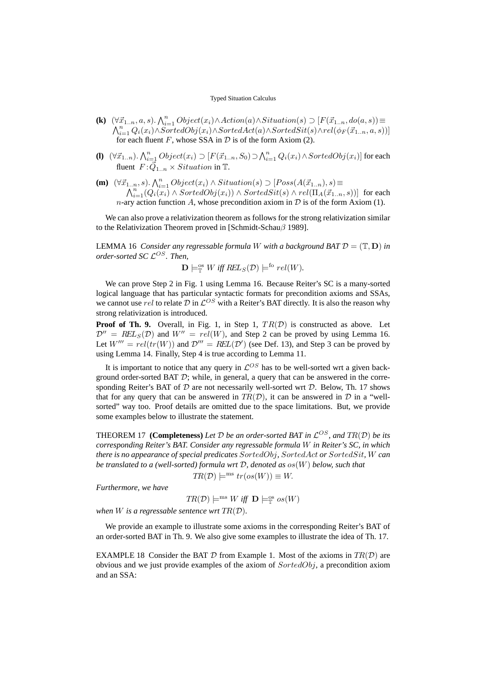- **(k)**  $(\forall \vec{x}_{1..n}, a, s) \cdot \bigwedge_{i=1}^{n} Object(x_i) \land Action(a) \land Situation(s) \supset [F(\vec{x}_{1..n}, do(a, s)) \equiv \bigwedge_{i=1}^{n} Q_i(x_i) \land SortedObj(x_i) \land SortedAct(a) \land SortedSt(s) \land rel(\phi_F(\vec{x}_{1..n}, a, s))]$ for each fluent  $F$ , whose SSA in  $D$  is of the form Axiom (2).
- **(l)**  $(\forall \vec{x}_{1..n})$ .  $\bigwedge_{i=1}^{n} Object(x_i) \supset [F(\vec{x}_{1..n}, S_0) \supset \bigwedge_{i=1}^{n} Q_i(x_i) \wedge sortedObj(x_i)]$  for each fluent  $F: \vec{Q}_{1..n} \times Situation$  in T.
- **(m)**  $(\forall \vec{x}_{1..n}, s) \cdot \bigwedge_{i=1}^{n} s$  $\bigcap_{i=1}^n s_i$ .  $\bigcap_{i=1}^n Object(x_i) \land Situation(s) \supset [Poss(A(\vec{x}_{1..n}), s) \equiv \ \bigcap_{i=1}^n (Q_i(x_i) \land SortedObj(x_i)) \land SortedSit(s) \land rel(\Pi_A(\vec{x}_{1..n},s))]$  for each n-ary action function A, whose precondition axiom in  $D$  is of the form Axiom (1).

We can also prove a relativization theorem as follows for the strong relativization similar to the Relativization Theorem proved in [Schmidt-Schauβ 1989].

LEMMA 16 *Consider any regressable formula W with a background BAT*  $\mathcal{D} = (\mathbb{T}, D)$  *in order-sorted SC* L OS*. Then,*

$$
\mathbf{D} \models_{\mathbb{T}}^{\text{os}} W \text{ iff } \text{REL}_S(\mathcal{D}) \models^{\text{fo}} rel(W).
$$

We can prove Step 2 in Fig. 1 using Lemma 16. Because Reiter's SC is a many-sorted logical language that has particular syntactic formats for precondition axioms and SSAs, we cannot use rel to relate  $D$  in  $\mathcal{L}^{OS}$  with a Reiter's BAT directly. It is also the reason why strong relativization is introduced.

**Proof of Th. 9.** Overall, in Fig. 1, in Step 1,  $TR(D)$  is constructed as above. Let  $\mathcal{D}'' = \text{REL}_S(\mathcal{D})$  and  $W'' = \text{rel}(W)$ , and Step 2 can be proved by using Lemma 16. Let  $W''' = rel(tr(W))$  and  $\mathcal{D}''' = REL(\mathcal{D}')$  (see Def. 13), and Step 3 can be proved by using Lemma 14. Finally, Step 4 is true according to Lemma 11.

It is important to notice that any query in  $\mathcal{L}^{OS}$  has to be well-sorted wrt a given background order-sorted BAT  $D$ ; while, in general, a query that can be answered in the corresponding Reiter's BAT of  $D$  are not necessarily well-sorted wrt  $D$ . Below, Th. 17 shows that for any query that can be answered in  $TR(D)$ , it can be answered in  $D$  in a "wellsorted" way too. Proof details are omitted due to the space limitations. But, we provide some examples below to illustrate the statement.

**THEOREM 17 (Completeness)** Let  $D$  be an order-sorted BAT in  $\mathcal{L}^{OS}$ , and  $TR(D)$  be its *corresponding Reiter's BAT. Consider any regressable formula* W *in Reiter's SC, in which there is no appearance of special predicates* SortedObj*,* SortedAct *or* SortedSit*,* W *can be translated to a (well-sorted) formula wrt* D*, denoted as* os(W) *below, such that*

$$
TR(\mathcal{D}) \models^{\text{ms}} tr(o s(W)) \equiv W.
$$

*Furthermore, we have*

$$
TR(\mathcal{D}) \models^{ms} W \text{ iff } \mathbf{D} \models^{\text{os}}_{\mathbb{T}} os(W)
$$

*when* W *is a regressable sentence wrt* TR(D)*.*

We provide an example to illustrate some axioms in the corresponding Reiter's BAT of an order-sorted BAT in Th. 9. We also give some examples to illustrate the idea of Th. 17.

EXAMPLE 18 Consider the BAT  $D$  from Example 1. Most of the axioms in  $TR(D)$  are obvious and we just provide examples of the axiom of SortedObj, a precondition axiom and an SSA: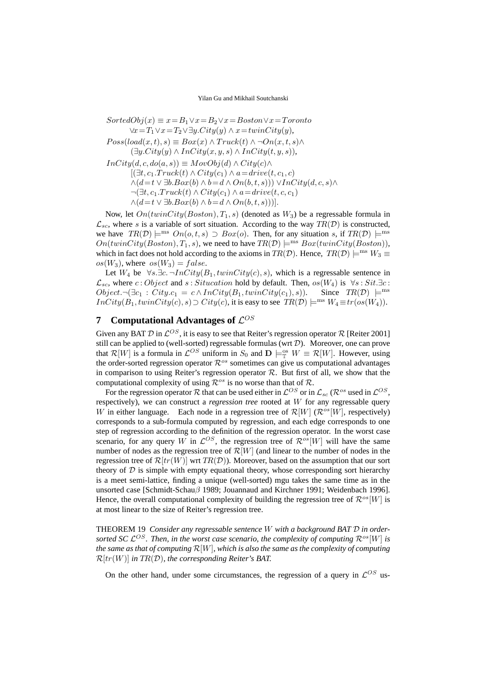$SortedObj(x) \equiv x = B_1 \vee x = B_2 \vee x = Boston \vee x = Toronto$  $\forall x = T_1 \lor x = T_2 \lor \exists y \ldotp City(y) \land x = twinCity(y),$  $Poss(load(x,t),s) \equiv Box(x) \wedge Truek(t) \wedge \neg On(x,t,s) \wedge$  $(\exists y.City(y) \land InCity(x, y, s) \land InCity(t, y, s)),$  $InCity(d, c, do(a, s)) \equiv MovObj(d) \wedge City(c) \wedge$  $[(\exists t, c_1.Truck(t) \wedge City(c_1) \wedge a = drive(t, c_1, c)]$  $\wedge (d=t \vee \exists b. Box(b) \wedge b=d \wedge On(b,t,s))) \vee InCity(d,c,s) \wedge$  $\neg(\exists t, c_1. Truck(t) \wedge City(c_1) \wedge a = drive(t, c, c_1))$  $\wedge (d=t \vee \exists b. Box(b) \wedge b = d \wedge On(b, t, s)))$ .

Now, let  $On(twinCity(Boston),T_1,s)$  (denoted as  $W_3$ ) be a regressable formula in  $\mathcal{L}_{sc}$ , where s is a variable of sort situation. According to the way  $TR(\mathcal{D})$  is constructed, we have  $TR(\mathcal{D}) \models^{ms} On(o,t,s) \supset Box(o)$ . Then, for any situation s, if  $TR(\mathcal{D}) \models^{ms}$  $On(twinCity(Boston),T_1,s)$ , we need to have  $TR(D) \models^{ms} Box(twinCity(Boston)),$ which in fact does not hold according to the axioms in  $TR(D)$ . Hence,  $TR(D) \models^{ms} W_3 \equiv$  $os(W_3)$ , where  $os(W_3) = false$ .

Let  $W_4$  be  $\forall s.\exists c.\,\neg InCity(B_1, twinCity(c), s)$ , which is a regressable sentence in  $\mathcal{L}_{sc}$ , where  $c : Object$  and  $s : Situation$  hold by default. Then,  $os(W_4)$  is  $\forall s : Sit. \exists c$ :  $Object. \neg (\exists c_1 : City.c_1 = c \land InCity(B_1, twinCity(c_1), s)).$  Since  $TR(\mathcal{D}) \models^{ms}$  $InCity(B_1, twinCity(c), s) \supset City(c)$ , it is easy to see  $TR(D) \models^{ms} W_4 \equiv tr(o(s(W_4)).$ 

# **7** Computational Advantages of  $\mathcal{L}^{OS}$

Given any BAT  $\mathcal D$  in  $\mathcal L^{OS}$ , it is easy to see that Reiter's regression operator  $\mathcal R$  [Reiter 2001] still can be applied to (well-sorted) regressable formulas (wrt  $D$ ). Moreover, one can prove that  $\mathcal{R}[W]$  is a formula in  $\mathcal{L}^{OS}$  uniform in  $S_0$  and  $\mathbf{D} \models_{\mathbb{T}}^{\infty} W \equiv \mathcal{R}[W]$ . However, using the order-sorted regression operator  $\mathcal{R}^{os}$  sometimes can give us computational advantages in comparison to using Reiter's regression operator  $\mathcal{R}$ . But first of all, we show that the computational complexity of using  $\mathcal{R}^{os}$  is no worse than that of  $\mathcal{R}$ .

For the regression operator  $R$  that can be used either in  $\mathcal{L}^{OS}$  or in  $\mathcal{L}_{sc}$  ( $\mathcal{R}^{os}$  used in  $\mathcal{L}^{OS},$ respectively), we can construct a *regression tree* rooted at W for any regressable query W in either language. Each node in a regression tree of  $\mathcal{R}[W]$  ( $\mathcal{R}^{os}[W]$ , respectively) corresponds to a sub-formula computed by regression, and each edge corresponds to one step of regression according to the definition of the regression operator. In the worst case scenario, for any query W in  $\mathcal{L}^{OS}$ , the regression tree of  $\mathcal{R}^{os}[W]$  will have the same number of nodes as the regression tree of  $\mathcal{R}[W]$  (and linear to the number of nodes in the regression tree of  $\mathcal{R}[tr(W)]$  wrt  $TR(\mathcal{D})$ ). Moreover, based on the assumption that our sort theory of  $D$  is simple with empty equational theory, whose corresponding sort hierarchy is a meet semi-lattice, finding a unique (well-sorted) mgu takes the same time as in the unsorted case [Schmidt-Schauβ 1989; Jouannaud and Kirchner 1991; Weidenbach 1996]. Hence, the overall computational complexity of building the regression tree of  $\mathcal{R}^{os}[W]$  is at most linear to the size of Reiter's regression tree.

THEOREM 19 *Consider any regressable sentence* W *with a background BAT* D *in order*sorted SC  $\mathcal{L}^{OS}$ . Then, in the worst case scenario, the complexity of computing  $\mathcal{R}^{os}[W]$  is *the same as that of computing* R[W]*, which is also the same as the complexity of computing* R[tr(W)] *in* TR(D)*, the corresponding Reiter's BAT.*

On the other hand, under some circumstances, the regression of a query in  $\mathcal{L}^{OS}$  us-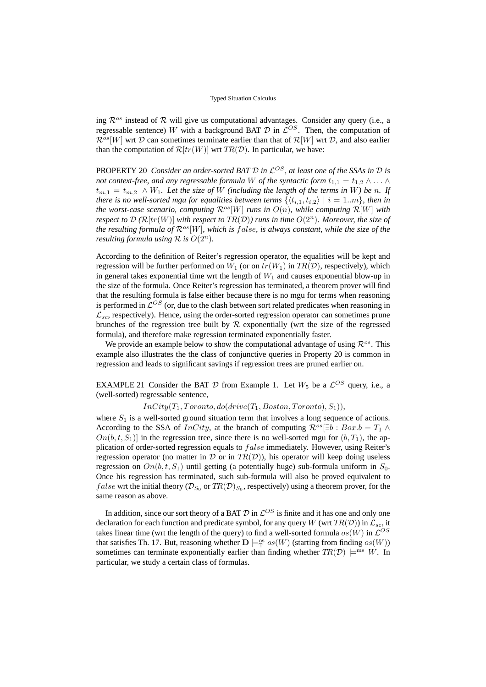ing  $\mathcal{R}^{os}$  instead of  $\mathcal R$  will give us computational advantages. Consider any query (i.e., a regressable sentence) W with a background BAT  $D$  in  $\mathcal{L}^{OS}$ . Then, the computation of  $\mathcal{R}^{os}[W]$  wrt D can sometimes terminate earlier than that of  $\mathcal{R}[W]$  wrt D, and also earlier than the computation of  $\mathcal{R}[tr(W)]$  wrt  $TR(\mathcal{D})$ . In particular, we have:

PROPERTY 20 *Consider an order-sorted BAT* D *in* L OS*, at least one of the SSAs in* D *is not context-free, and any regressable formula* W *of the syntactic form*  $t_{1,1} = t_{1,2} \wedge \ldots \wedge$  $t_{m,1} = t_{m,2} \wedge W_1$ *. Let the size of* W *(including the length of the terms in* W) be n. If *there is no well-sorted mgu for equalities between terms*  $\{ \langle t_{i,1}, t_{i,2} \rangle | i = 1..m \}$ *, then in the worst-case scenario, computing*  $\mathcal{R}^{os}[W]$  *runs in*  $O(n)$ *, while computing*  $\mathcal{R}[W]$  *with respect to*  $\mathcal{D}(\mathcal{R}[tr(W)]$  *with respect to*  $TR(\mathcal{D}))$  *runs in time*  $O(2^n)$ *. Moreover, the size of the resulting formula of*  $\mathcal{R}^{os}[W]$ *, which is false, is always constant, while the size of the resulting formula using*  $\mathcal R$  *is*  $O(2^n)$ *.* 

According to the definition of Reiter's regression operator, the equalities will be kept and regression will be further performed on  $W_1$  (or on  $tr(W_1)$  in  $TR(D)$ , respectively), which in general takes exponential time wrt the length of  $W_1$  and causes exponential blow-up in the size of the formula. Once Reiter's regression has terminated, a theorem prover will find that the resulting formula is false either because there is no mgu for terms when reasoning is performed in  $\mathcal{L}^{OS}$  (or, due to the clash between sort related predicates when reasoning in  $\mathcal{L}_{sc}$ , respectively). Hence, using the order-sorted regression operator can sometimes prune brunches of the regression tree built by  $R$  exponentially (wrt the size of the regressed formula), and therefore make regression terminated exponentially faster.

We provide an example below to show the computational advantage of using  $\mathcal{R}^{os}$ . This example also illustrates the the class of conjunctive queries in Property 20 is common in regression and leads to significant savings if regression trees are pruned earlier on.

EXAMPLE 21 Consider the BAT  $D$  from Example 1. Let  $W_5$  be a  $\mathcal{L}^{OS}$  query, i.e., a (well-sorted) regressable sentence,

 $InCity(T_1, Toronto, do(drive(T_1, Boston, Toronto),S_1)),$ 

where  $S_1$  is a well-sorted ground situation term that involves a long sequence of actions. According to the SSA of *InCity*, at the branch of computing  $\mathcal{R}^{\circ s}[\exists b : Box.b = T_1 \land$  $On(b, t, S_1)$  in the regression tree, since there is no well-sorted mgu for  $(b, T_1)$ , the application of order-sorted regression equals to false immediately. However, using Reiter's regression operator (no matter in  $\mathcal D$  or in  $TR(\mathcal D)$ ), his operator will keep doing useless regression on  $On(b, t, S_1)$  until getting (a potentially huge) sub-formula uniform in  $S_0$ . Once his regression has terminated, such sub-formula will also be proved equivalent to *false* wrt the initial theory ( $\mathcal{D}_{S_0}$  or  $TR(\mathcal{D})_{S_0}$ , respectively) using a theorem prover, for the same reason as above.

In addition, since our sort theory of a BAT  $D$  in  $\mathcal{L}^{OS}$  is finite and it has one and only one declaration for each function and predicate symbol, for any query W (wrt  $TR(\mathcal{D})$ ) in  $\mathcal{L}_{sc}$ , it takes linear time (wrt the length of the query) to find a well-sorted formula  $os(W)$  in  $\mathcal{L}^{OS}$ that satisfies Th. 17. But, reasoning whether  $\mathbf{D} \models_{\mathbb{T}}^{\text{os}} os(W)$  (starting from finding  $os(W)$ ) sometimes can terminate exponentially earlier than finding whether  $TR(D) \models^{ms} W$ . In particular, we study a certain class of formulas.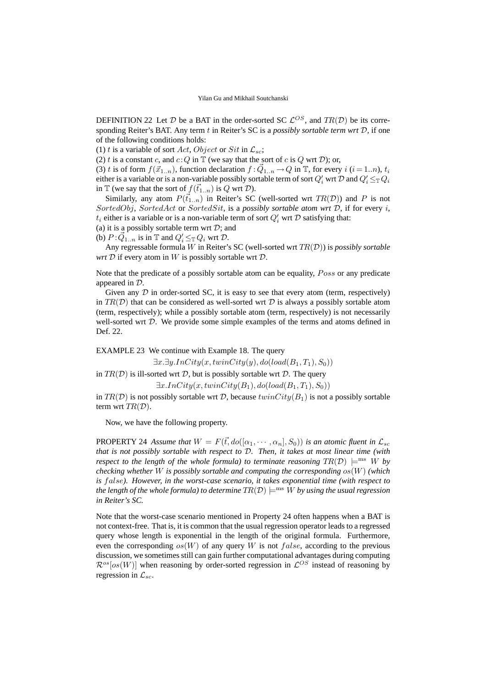DEFINITION 22 Let D be a BAT in the order-sorted SC  $\mathcal{L}^{OS}$ , and  $TR(\mathcal{D})$  be its corresponding Reiter's BAT. Any term t in Reiter's SC is a *possibly sortable term wrt* D, if one of the following conditions holds:

(1) t is a variable of sort Act, Object or Sit in  $\mathcal{L}_{sc}$ ;

(2) t is a constant c, and  $c:Q$  in  $\mathbb T$  (we say that the sort of c is Q wrt D); or,

(3) t is of form  $f(\vec{x}_{1..n})$ , function declaration  $f : \vec{Q}_{1..n} \to Q$  in  $\mathbb{T}$ , for every  $i$   $(i = 1..n)$ ,  $t_i$ either is a variable or is a non-variable possibly sortable term of sort  $Q'_i$  wrt D and  $Q'_i \leq_{\mathbb{T}} Q_i$ in T (we say that the sort of  $f(\vec{t}_{1..n})$  is Q wrt D).

Similarly, any atom  $P(\vec{t}_{1..n})$  in Reiter's SC (well-sorted wrt  $TR(\mathcal{D})$ ) and P is not SortedObj, SortedAct or SortedSit, is a *possibly sortable atom wrt* D, if for every i,  $t_i$  either is a variable or is a non-variable term of sort  $Q'_i$  wrt  $D$  satisfying that:

(a) it is a possibly sortable term wrt  $\mathcal{D}$ ; and

(b)  $P:\vec{Q}_{1..n}$  is in T and  $Q'_i \leq_{\mathbb{T}} Q_i$  wrt  $\mathcal{D}$ .

Any regressable formula W in Reiter's SC (well-sorted wrt TR(D)) is *possibly sortable wrt*  $D$  if every atom in  $W$  is possibly sortable wrt  $D$ .

Note that the predicate of a possibly sortable atom can be equality, Poss or any predicate appeared in D.

Given any  $D$  in order-sorted SC, it is easy to see that every atom (term, respectively) in  $TR(D)$  that can be considered as well-sorted wrt D is always a possibly sortable atom (term, respectively); while a possibly sortable atom (term, respectively) is not necessarily well-sorted wrt D. We provide some simple examples of the terms and atoms defined in Def. 22.

EXAMPLE 23 We continue with Example 18. The query

 $\exists x. \exists y. InCity(x, twinCity(y), do (load(B_1, T_1), S_0))$ 

in  $TR(D)$  is ill-sorted wrt D, but is possibly sortable wrt D. The query

 $\exists x. InCity(x, twinCity(B_1), do (load(B_1, T_1), S_0))$ 

in  $TR(D)$  is not possibly sortable wrt D, because  $twinCity(B_1)$  is not a possibly sortable term wrt  $TR(D)$ .

Now, we have the following property.

**PROPERTY** 24 Assume that  $W = F(\vec{t}, d\text{o}([\alpha_1, \cdots, \alpha_n], S_0))$  is an atomic fluent in  $\mathcal{L}_{sc}$ *that is not possibly sortable with respect to* D*. Then, it takes at most linear time (with respect to the length of the whole formula) to terminate reasoning*  $TR(\mathcal{D}) \models^{\text{ms}} W$  *by checking whether* W *is possibly sortable and computing the corresponding* os(W) *(which is* false*). However, in the worst-case scenario, it takes exponential time (with respect to the length of the whole formula) to determine*  $TR(D) \models^{ms} W$  *by using the usual regression in Reiter's SC.*

Note that the worst-case scenario mentioned in Property 24 often happens when a BAT is not context-free. That is, it is common that the usual regression operator leads to a regressed query whose length is exponential in the length of the original formula. Furthermore, even the corresponding  $os(W)$  of any query W is not false, according to the previous discussion, we sometimes still can gain further computational advantages during computing  $\mathcal{R}^{os}[os(W)]$  when reasoning by order-sorted regression in  $\mathcal{L}^{OS}$  instead of reasoning by regression in  $\mathcal{L}_{sc}$ .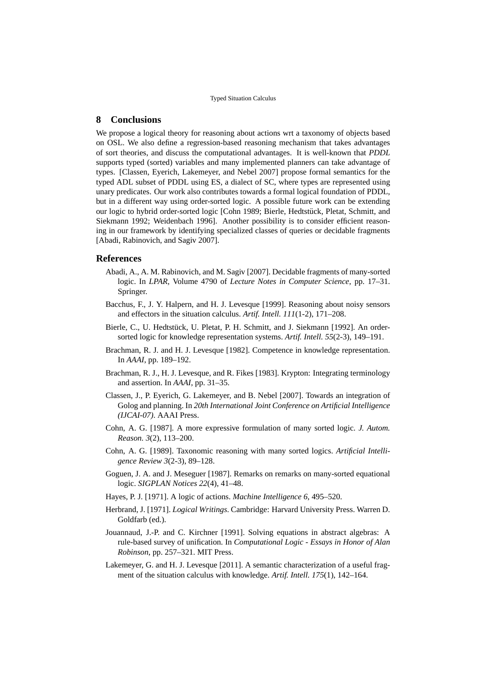# **8 Conclusions**

We propose a logical theory for reasoning about actions wrt a taxonomy of objects based on OSL. We also define a regression-based reasoning mechanism that takes advantages of sort theories, and discuss the computational advantages. It is well-known that *PDDL* supports typed (sorted) variables and many implemented planners can take advantage of types. [Classen, Eyerich, Lakemeyer, and Nebel 2007] propose formal semantics for the typed ADL subset of PDDL using ES, a dialect of SC, where types are represented using unary predicates. Our work also contributes towards a formal logical foundation of PDDL, but in a different way using order-sorted logic. A possible future work can be extending our logic to hybrid order-sorted logic [Cohn 1989; Bierle, Hedtstück, Pletat, Schmitt, and Siekmann 1992; Weidenbach 1996]. Another possibility is to consider efficient reasoning in our framework by identifying specialized classes of queries or decidable fragments [Abadi, Rabinovich, and Sagiv 2007].

### **References**

- Abadi, A., A. M. Rabinovich, and M. Sagiv [2007]. Decidable fragments of many-sorted logic. In *LPAR*, Volume 4790 of *Lecture Notes in Computer Science*, pp. 17–31. Springer.
- Bacchus, F., J. Y. Halpern, and H. J. Levesque [1999]. Reasoning about noisy sensors and effectors in the situation calculus. *Artif. Intell. 111*(1-2), 171–208.
- Bierle, C., U. Hedtstück, U. Pletat, P. H. Schmitt, and J. Siekmann [1992]. An ordersorted logic for knowledge representation systems. *Artif. Intell. 55*(2-3), 149–191.
- Brachman, R. J. and H. J. Levesque [1982]. Competence in knowledge representation. In *AAAI*, pp. 189–192.
- Brachman, R. J., H. J. Levesque, and R. Fikes [1983]. Krypton: Integrating terminology and assertion. In *AAAI*, pp. 31–35.
- Classen, J., P. Eyerich, G. Lakemeyer, and B. Nebel [2007]. Towards an integration of Golog and planning. In *20th International Joint Conference on Artificial Intelligence (IJCAI-07)*. AAAI Press.
- Cohn, A. G. [1987]. A more expressive formulation of many sorted logic. *J. Autom. Reason. 3*(2), 113–200.
- Cohn, A. G. [1989]. Taxonomic reasoning with many sorted logics. *Artificial Intelligence Review 3*(2-3), 89–128.
- Goguen, J. A. and J. Meseguer [1987]. Remarks on remarks on many-sorted equational logic. *SIGPLAN Notices 22*(4), 41–48.
- Hayes, P. J. [1971]. A logic of actions. *Machine Intelligence 6*, 495–520.
- Herbrand, J. [1971]. *Logical Writings*. Cambridge: Harvard University Press. Warren D. Goldfarb (ed.).
- Jouannaud, J.-P. and C. Kirchner [1991]. Solving equations in abstract algebras: A rule-based survey of unification. In *Computational Logic - Essays in Honor of Alan Robinson*, pp. 257–321. MIT Press.
- Lakemeyer, G. and H. J. Levesque [2011]. A semantic characterization of a useful fragment of the situation calculus with knowledge. *Artif. Intell. 175*(1), 142–164.